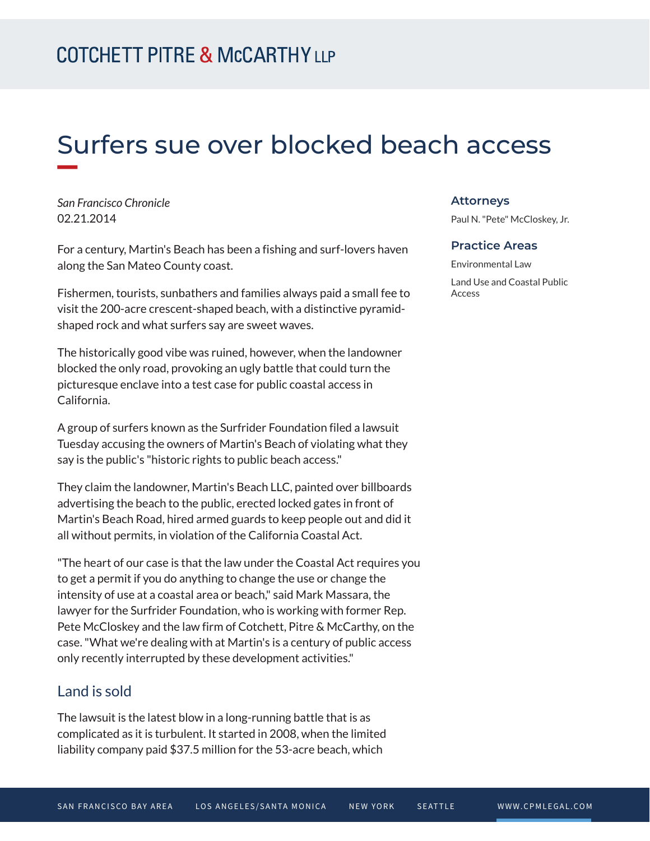# Surfers sue over blocked beach access

*San Francisco Chronicle* 02.21.2014

For a century, Martin's Beach has been a fishing and surf-lovers haven along the San Mateo County coast.

Fishermen, tourists, sunbathers and families always paid a small fee to visit the 200-acre crescent-shaped beach, with a distinctive pyramidshaped rock and what surfers say are sweet waves.

The historically good vibe was ruined, however, when the landowner blocked the only road, provoking an ugly battle that could turn the picturesque enclave into a test case for public coastal access in California.

A group of surfers known as the Surfrider Foundation filed a lawsuit Tuesday accusing the owners of Martin's Beach of violating what they say is the public's "historic rights to public beach access."

They claim the landowner, Martin's Beach LLC, painted over billboards advertising the beach to the public, erected locked gates in front of Martin's Beach Road, hired armed guards to keep people out and did it all without permits, in violation of the California Coastal Act.

"The heart of our case is that the law under the Coastal Act requires you to get a permit if you do anything to change the use or change the intensity of use at a coastal area or beach," said Mark Massara, the lawyer for the Surfrider Foundation, who is working with former Rep. Pete McCloskey and the law firm of Cotchett, Pitre & McCarthy, on the case. "What we're dealing with at Martin's is a century of public access only recently interrupted by these development activities."

### Land is sold

The lawsuit is the latest blow in a long-running battle that is as complicated as it is turbulent. It started in 2008, when the limited liability company paid \$37.5 million for the 53-acre beach, which

#### **Attorneys**

Paul N. "Pete" McCloskey, Jr.

#### **Practice Areas**

Environmental Law Land Use and Coastal Public Access